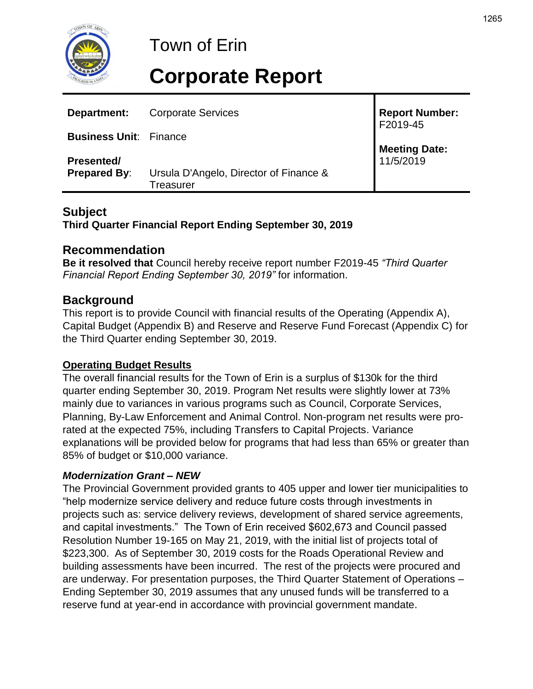

# Town of Erin

# **Corporate Report**

| Department:                                        | <b>Corporate Services</b>                           | Report Number:<br>F2019-45 |
|----------------------------------------------------|-----------------------------------------------------|----------------------------|
| <b>Business Unit: Finance</b><br><b>Presented/</b> |                                                     | Meeting Date:<br>11/5/2019 |
| <b>Prepared By:</b>                                | Ursula D'Angelo, Director of Finance &<br>Treasurer |                            |

#### **Subject**

**Third Quarter Financial Report Ending September 30, 2019**

#### **Recommendation**

**Be it resolved that** Council hereby receive report number F2019-45 *"Third Quarter Financial Report Ending September 30, 2019"* for information.

#### **Background**

This report is to provide Council with financial results of the Operating (Appendix A), Capital Budget (Appendix B) and Reserve and Reserve Fund Forecast (Appendix C) for the Third Quarter ending September 30, 2019.

#### **Operating Budget Results**

The overall financial results for the Town of Erin is a surplus of \$130k for the third quarter ending September 30, 2019. Program Net results were slightly lower at 73% mainly due to variances in various programs such as Council, Corporate Services, Planning, By-Law Enforcement and Animal Control. Non-program net results were prorated at the expected 75%, including Transfers to Capital Projects. Variance explanations will be provided below for programs that had less than 65% or greater than 85% of budget or \$10,000 variance.

#### *Modernization Grant – NEW*

The Provincial Government provided grants to 405 upper and lower tier municipalities to "help modernize service delivery and reduce future costs through investments in projects such as: service delivery reviews, development of shared service agreements, and capital investments." The Town of Erin received \$602,673 and Council passed Resolution Number 19-165 on May 21, 2019, with the initial list of projects total of \$223,300. As of September 30, 2019 costs for the Roads Operational Review and building assessments have been incurred. The rest of the projects were procured and are underway. For presentation purposes, the Third Quarter Statement of Operations – Ending September 30, 2019 assumes that any unused funds will be transferred to a reserve fund at year-end in accordance with provincial government mandate.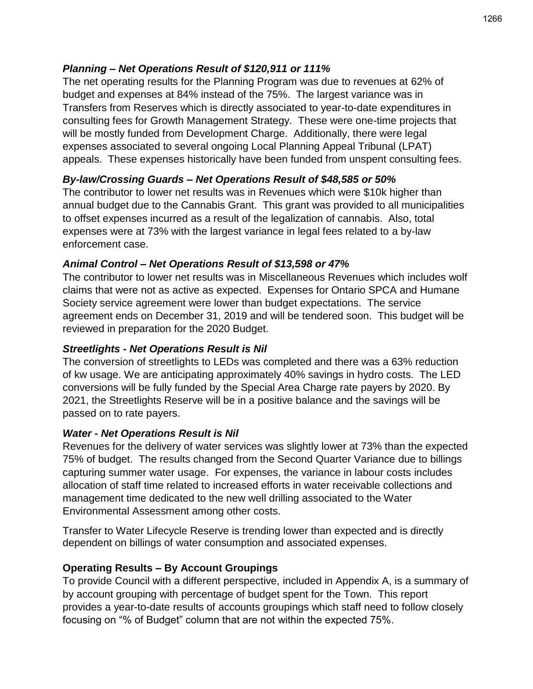#### *Planning – Net Operations Result of \$120,911 or 111%*

The net operating results for the Planning Program was due to revenues at 62% of budget and expenses at 84% instead of the 75%. The largest variance was in Transfers from Reserves which is directly associated to year-to-date expenditures in consulting fees for Growth Management Strategy. These were one-time projects that will be mostly funded from Development Charge. Additionally, there were legal expenses associated to several ongoing Local Planning Appeal Tribunal (LPAT) appeals. These expenses historically have been funded from unspent consulting fees.

#### *By-law/Crossing Guards – Net Operations Result of \$48,585 or 50%*

The contributor to lower net results was in Revenues which were \$10k higher than annual budget due to the Cannabis Grant. This grant was provided to all municipalities to offset expenses incurred as a result of the legalization of cannabis. Also, total expenses were at 73% with the largest variance in legal fees related to a by-law enforcement case.

#### *Animal Control – Net Operations Result of \$13,598 or 47%*

The contributor to lower net results was in Miscellaneous Revenues which includes wolf claims that were not as active as expected. Expenses for Ontario SPCA and Humane Society service agreement were lower than budget expectations. The service agreement ends on December 31, 2019 and will be tendered soon. This budget will be reviewed in preparation for the 2020 Budget.

#### *Streetlights - Net Operations Result is Nil*

The conversion of streetlights to LEDs was completed and there was a 63% reduction of kw usage. We are anticipating approximately 40% savings in hydro costs. The LED conversions will be fully funded by the Special Area Charge rate payers by 2020. By 2021, the Streetlights Reserve will be in a positive balance and the savings will be passed on to rate payers.

#### *Water - Net Operations Result is Nil*

Revenues for the delivery of water services was slightly lower at 73% than the expected 75% of budget. The results changed from the Second Quarter Variance due to billings capturing summer water usage. For expenses, the variance in labour costs includes allocation of staff time related to increased efforts in water receivable collections and management time dedicated to the new well drilling associated to the Water Environmental Assessment among other costs.

Transfer to Water Lifecycle Reserve is trending lower than expected and is directly dependent on billings of water consumption and associated expenses.

#### **Operating Results – By Account Groupings**

To provide Council with a different perspective, included in Appendix A, is a summary of by account grouping with percentage of budget spent for the Town. This report provides a year-to-date results of accounts groupings which staff need to follow closely focusing on "% of Budget" column that are not within the expected 75%.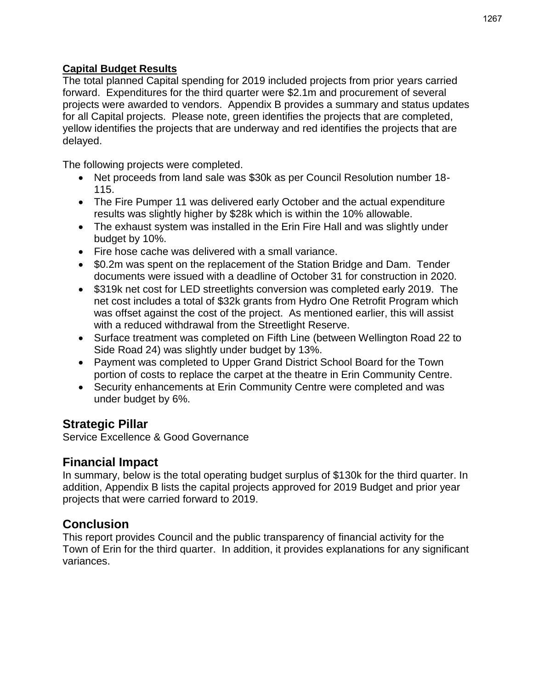#### **Capital Budget Results**

The total planned Capital spending for 2019 included projects from prior years carried forward. Expenditures for the third quarter were \$2.1m and procurement of several projects were awarded to vendors. Appendix B provides a summary and status updates for all Capital projects. Please note, green identifies the projects that are completed, yellow identifies the projects that are underway and red identifies the projects that are delayed.

The following projects were completed.

- Net proceeds from land sale was \$30k as per Council Resolution number 18- 115.
- The Fire Pumper 11 was delivered early October and the actual expenditure results was slightly higher by \$28k which is within the 10% allowable.
- The exhaust system was installed in the Erin Fire Hall and was slightly under budget by 10%.
- Fire hose cache was delivered with a small variance.
- \$0.2m was spent on the replacement of the Station Bridge and Dam. Tender documents were issued with a deadline of October 31 for construction in 2020.
- \$319k net cost for LED streetlights conversion was completed early 2019. The net cost includes a total of \$32k grants from Hydro One Retrofit Program which was offset against the cost of the project. As mentioned earlier, this will assist with a reduced withdrawal from the Streetlight Reserve.
- Surface treatment was completed on Fifth Line (between Wellington Road 22 to Side Road 24) was slightly under budget by 13%.
- Payment was completed to Upper Grand District School Board for the Town portion of costs to replace the carpet at the theatre in Erin Community Centre.
- Security enhancements at Erin Community Centre were completed and was under budget by 6%.

## **Strategic Pillar**

Service Excellence & Good Governance

#### **Financial Impact**

In summary, below is the total operating budget surplus of \$130k for the third quarter. In addition, Appendix B lists the capital projects approved for 2019 Budget and prior year projects that were carried forward to 2019.

## **Conclusion**

This report provides Council and the public transparency of financial activity for the Town of Erin for the third quarter. In addition, it provides explanations for any significant variances.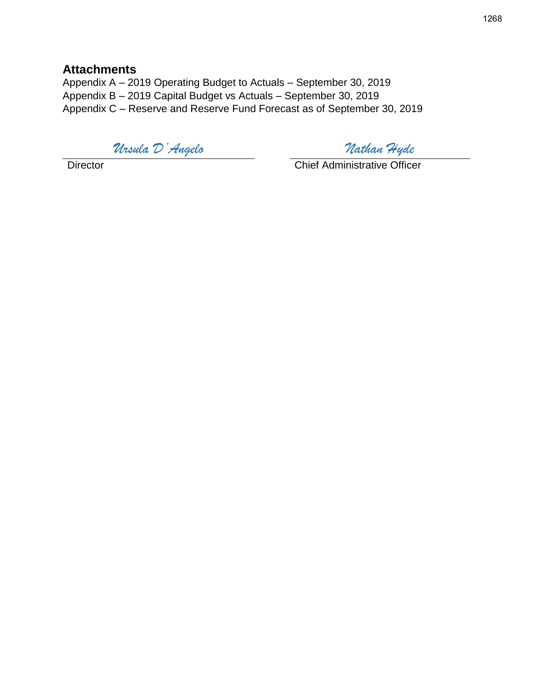#### **Attachments**

Appendix A – 2019 Operating Budget to Actuals – September 30, 2019 Appendix B – 2019 Capital Budget vs Actuals – September 30, 2019 Appendix C – Reserve and Reserve Fund Forecast as of September 30, 2019

*Ursula D'Angelo Nathan Hyde* 

Director Chief Administrative Officer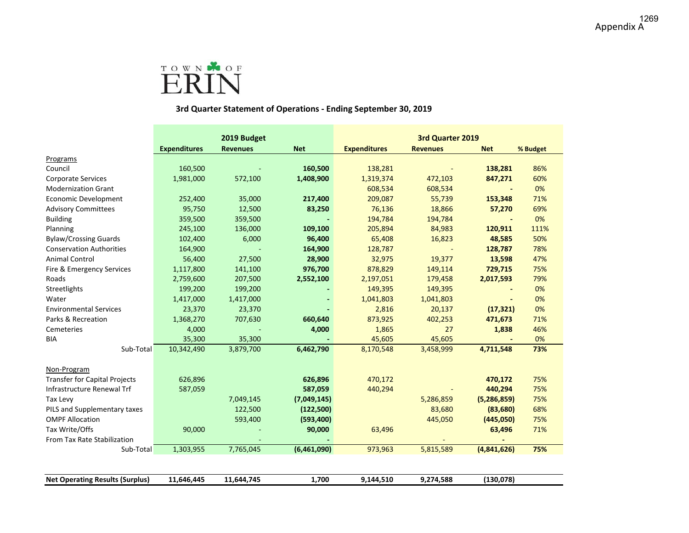

#### **3rd Quarter Statement of Operations ‐ Ending September 30, 2019**

|                                        |                     | 2019 Budget     |             |                     | 3rd Quarter 2019 |             |          |
|----------------------------------------|---------------------|-----------------|-------------|---------------------|------------------|-------------|----------|
|                                        | <b>Expenditures</b> | <b>Revenues</b> | <b>Net</b>  | <b>Expenditures</b> | <b>Revenues</b>  | <b>Net</b>  | % Budget |
| Programs                               |                     |                 |             |                     |                  |             |          |
| Council                                | 160,500             |                 | 160,500     | 138,281             |                  | 138,281     | 86%      |
| <b>Corporate Services</b>              | 1,981,000           | 572,100         | 1,408,900   | 1,319,374           | 472,103          | 847,271     | 60%      |
| <b>Modernization Grant</b>             |                     |                 |             | 608,534             | 608,534          |             | 0%       |
| <b>Economic Development</b>            | 252,400             | 35,000          | 217,400     | 209,087             | 55,739           | 153,348     | 71%      |
| <b>Advisory Committees</b>             | 95,750              | 12,500          | 83,250      | 76,136              | 18,866           | 57,270      | 69%      |
| <b>Building</b>                        | 359,500             | 359,500         |             | 194,784             | 194,784          |             | 0%       |
| Planning                               | 245,100             | 136,000         | 109,100     | 205,894             | 84,983           | 120,911     | 111%     |
| <b>Bylaw/Crossing Guards</b>           | 102,400             | 6,000           | 96,400      | 65,408              | 16,823           | 48,585      | 50%      |
| <b>Conservation Authorities</b>        | 164,900             |                 | 164,900     | 128,787             |                  | 128,787     | 78%      |
| Animal Control                         | 56,400              | 27,500          | 28,900      | 32,975              | 19,377           | 13,598      | 47%      |
| Fire & Emergency Services              | 1,117,800           | 141,100         | 976,700     | 878,829             | 149,114          | 729,715     | 75%      |
| Roads                                  | 2,759,600           | 207,500         | 2,552,100   | 2,197,051           | 179,458          | 2,017,593   | 79%      |
| Streetlights                           | 199,200             | 199,200         |             | 149,395             | 149,395          |             | 0%       |
| Water                                  | 1,417,000           | 1,417,000       |             | 1,041,803           | 1,041,803        |             | 0%       |
| <b>Environmental Services</b>          | 23,370              | 23,370          |             | 2,816               | 20,137           | (17, 321)   | 0%       |
| Parks & Recreation                     | 1,368,270           | 707,630         | 660,640     | 873,925             | 402,253          | 471,673     | 71%      |
| Cemeteries                             | 4,000               |                 | 4,000       | 1,865               | 27               | 1,838       | 46%      |
| <b>BIA</b>                             | 35,300              | 35,300          |             | 45,605              | 45,605           |             | 0%       |
| Sub-Total                              | 10,342,490          | 3,879,700       | 6,462,790   | 8,170,548           | 3,458,999        | 4,711,548   | 73%      |
| Non-Program                            |                     |                 |             |                     |                  |             |          |
| <b>Transfer for Capital Projects</b>   | 626,896             |                 | 626,896     | 470,172             |                  | 470,172     | 75%      |
| Infrastructure Renewal Trf             | 587,059             |                 | 587,059     | 440,294             |                  | 440,294     | 75%      |
| Tax Levy                               |                     | 7,049,145       | (7,049,145) |                     | 5,286,859        | (5,286,859) | 75%      |
| PILS and Supplementary taxes           |                     | 122,500         | (122,500)   |                     | 83,680           | (83,680)    | 68%      |
| <b>OMPF Allocation</b>                 |                     | 593,400         | (593, 400)  |                     | 445,050          | (445,050)   | 75%      |
| Tax Write/Offs                         | 90,000              |                 | 90,000      | 63,496              |                  | 63,496      | 71%      |
| From Tax Rate Stabilization            |                     |                 |             |                     |                  |             |          |
| Sub-Total                              | 1,303,955           | 7,765,045       | (6,461,090) | 973,963             | 5,815,589        | (4,841,626) | 75%      |
|                                        |                     |                 |             |                     |                  |             |          |
| <b>Net Operating Results (Surplus)</b> | 11,646,445          | 11,644,745      | 1,700       | 9.144.510           | 9,274,588        | (130, 078)  |          |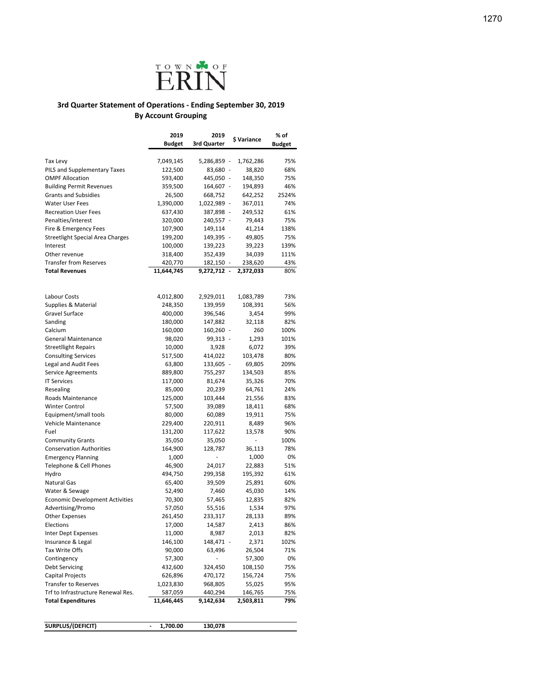

#### **3rd Quarter Statement of Operations ‐ Ending September 30, 2019 By Account Grouping**

|                                                | 2019                                 | 2019                     | \$ Variance      | % of          |
|------------------------------------------------|--------------------------------------|--------------------------|------------------|---------------|
|                                                | <b>Budget</b>                        | 3rd Quarter              |                  | <b>Budget</b> |
|                                                |                                      |                          |                  |               |
| Tax Levy                                       | 7,049,145                            | 5,286,859 -              | 1,762,286        | 75%           |
| PILS and Supplementary Taxes                   | 122,500                              | 83,680 -                 | 38,820           | 68%           |
| <b>OMPF Allocation</b>                         | 593,400                              | 445,050 -                | 148,350          | 75%           |
| <b>Building Permit Revenues</b>                | 359,500                              | 164,607 -                | 194,893          | 46%           |
| <b>Grants and Subsidies</b>                    | 26,500                               | 668,752                  | 642,252          | 2524%         |
| <b>Water User Fees</b>                         | 1,390,000                            | 1,022,989 -              | 367,011          | 74%           |
| <b>Recreation User Fees</b>                    | 637,430                              | 387,898 -                | 249,532          | 61%           |
| Penalties/interest                             | 320,000                              | 240,557 -                | 79,443           | 75%           |
| Fire & Emergency Fees                          | 107,900                              | 149,114                  | 41,214           | 138%          |
| Streetlight Special Area Charges               | 199,200                              | 149,395 -                | 49,805           | 75%           |
| Interest                                       | 100,000                              | 139,223                  | 39,223           | 139%          |
| Other revenue<br><b>Transfer from Reserves</b> | 318,400                              | 352,439                  | 34,039           | 111%          |
| <b>Total Revenues</b>                          | 420,770                              | 182,150 -                | 238,620          | 43%           |
|                                                | 11,644,745                           | $9,272,712 -$            | 2,372,033        | 80%           |
|                                                |                                      |                          |                  |               |
| Labour Costs                                   | 4,012,800                            | 2,929,011                | 1,083,789        | 73%           |
| Supplies & Material                            | 248,350                              | 139,959                  | 108,391          | 56%           |
| Gravel Surface                                 | 400,000                              | 396,546                  | 3,454            | 99%           |
| Sanding                                        | 180,000                              | 147,882                  | 32,118           | 82%           |
| Calcium                                        | 160,000                              | 160,260 -                | 260              | 100%          |
| <b>General Maintenance</b>                     | 98,020                               | 99,313 -                 | 1,293            | 101%          |
| <b>Streetllight Repairs</b>                    | 10,000                               | 3,928                    | 6,072            | 39%           |
| <b>Consulting Services</b>                     | 517,500                              | 414,022                  | 103,478          | 80%           |
| Legal and Audit Fees                           | 63,800                               | 133,605 -                | 69,805           | 209%          |
| <b>Service Agreements</b>                      | 889,800                              | 755,297                  | 134,503          | 85%           |
| <b>IT Services</b>                             | 117,000                              | 81,674                   | 35,326           | 70%           |
| Resealing                                      | 85,000                               | 20,239                   | 64,761           | 24%           |
| Roads Maintenance<br><b>Winter Control</b>     | 125,000<br>57,500                    | 103,444                  | 21,556<br>18,411 | 83%<br>68%    |
| Equipment/small tools                          | 80,000                               | 39,089<br>60,089         | 19,911           | 75%           |
| Vehicle Maintenance                            | 229,400                              | 220,911                  | 8,489            | 96%           |
| Fuel                                           | 131,200                              | 117,622                  | 13,578           | 90%           |
| <b>Community Grants</b>                        | 35,050                               | 35,050                   |                  | 100%          |
| <b>Conservation Authorities</b>                | 164,900                              | 128,787                  | 36,113           | 78%           |
| <b>Emergency Planning</b>                      | 1,000                                | ÷,                       | 1,000            | 0%            |
| Telephone & Cell Phones                        | 46,900                               | 24,017                   | 22,883           | 51%           |
| Hydro                                          | 494,750                              | 299,358                  | 195,392          | 61%           |
| <b>Natural Gas</b>                             | 65,400                               | 39,509                   | 25,891           | 60%           |
| Water & Sewage                                 | 52,490                               | 7,460                    | 45,030           | 14%           |
| <b>Economic Development Activities</b>         | 70,300                               | 57,465                   | 12,835           | 82%           |
| Advertising/Promo                              | 57,050                               | 55,516                   | 1,534            | 97%           |
| <b>Other Expenses</b>                          | 261,450                              | 233,317                  | 28,133           | 89%           |
| Elections                                      | 17,000                               | 14,587                   | 2,413            | 86%           |
| Inter Dept Expenses                            | 11,000                               | 8,987                    | 2,013            | 82%           |
| Insurance & Legal                              | 146,100                              | 148,471 -                | 2,371            | 102%          |
| Tax Write Offs                                 | 90,000                               | 63,496                   | 26,504           | 71%           |
| Contingency                                    | 57,300                               | $\overline{\phantom{0}}$ | 57,300           | 0%            |
| <b>Debt Servicing</b>                          | 432,600                              | 324,450                  | 108,150          | 75%           |
| Capital Projects                               | 626,896                              | 470,172                  | 156,724          | 75%           |
| <b>Transfer to Reserves</b>                    | 1,023,830                            | 968,805                  | 55,025           | 95%           |
| Trf to Infrastructure Renewal Res.             | 587,059                              | 440,294                  | 146,765          | 75%           |
| <b>Total Expenditures</b>                      | 11,646,445                           | 9,142,634                | 2,503,811        | 79%           |
|                                                |                                      |                          |                  |               |
| SURPLUS/(DEFICIT)                              | 1,700.00<br>$\overline{\phantom{a}}$ | 130,078                  |                  |               |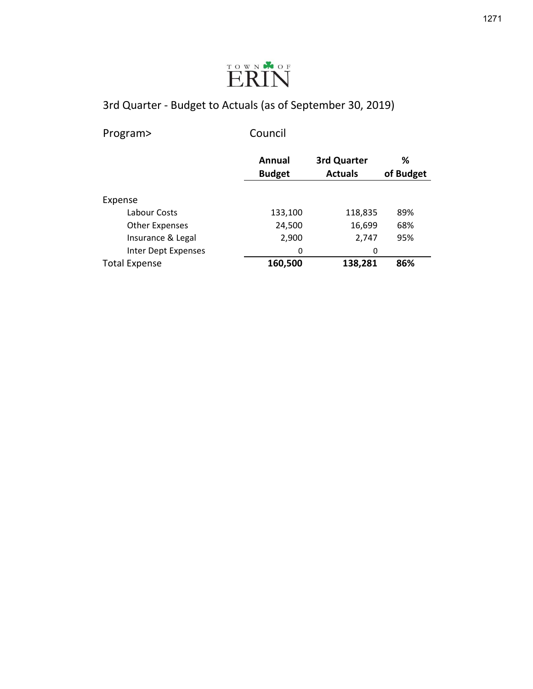

Program> Council

|                       | Annual        | 3rd Quarter    | ℅         |
|-----------------------|---------------|----------------|-----------|
|                       | <b>Budget</b> | <b>Actuals</b> | of Budget |
|                       |               |                |           |
| Expense               |               |                |           |
| Labour Costs          | 133,100       | 118,835        | 89%       |
| <b>Other Expenses</b> | 24,500        | 16,699         | 68%       |
| Insurance & Legal     | 2,900         | 2,747          | 95%       |
| Inter Dept Expenses   | 0             | 0              |           |
| <b>Total Expense</b>  | 160,500       | 138,281        | 86%       |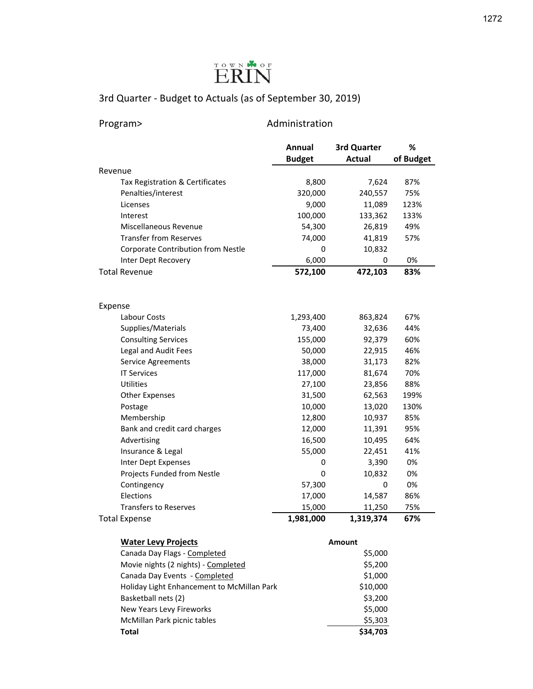

| Program>                           |               | Administration |           |  |
|------------------------------------|---------------|----------------|-----------|--|
|                                    | Annual        | 3rd Quarter    | ℅         |  |
|                                    | <b>Budget</b> | <b>Actual</b>  | of Budget |  |
| Revenue                            |               |                |           |  |
| Tax Registration & Certificates    | 8,800         | 7,624          | 87%       |  |
| Penalties/interest                 | 320,000       | 240,557        | 75%       |  |
| Licenses                           | 9,000         | 11,089         | 123%      |  |
| Interest                           | 100,000       | 133,362        | 133%      |  |
| Miscellaneous Revenue              | 54,300        | 26,819         | 49%       |  |
| <b>Transfer from Reserves</b>      | 74,000        | 41,819         | 57%       |  |
| Corporate Contribution from Nestle | 0             | 10,832         |           |  |
| Inter Dept Recovery                | 6,000         | 0              | 0%        |  |
| <b>Total Revenue</b>               | 572,100       | 472,103        | 83%       |  |
| Expense                            |               |                |           |  |
| Labour Costs                       | 1,293,400     | 863,824        | 67%       |  |
| Supplies/Materials                 | 73,400        | 32,636         | 44%       |  |
| <b>Consulting Services</b>         | 155,000       | 92,379         | 60%       |  |
| Legal and Audit Fees               | 50,000        | 22,915         | 46%       |  |
| Service Agreements                 | 38,000        | 31,173         | 82%       |  |
| <b>IT Services</b>                 | 117,000       | 81,674         | 70%       |  |
| Utilities                          | 27,100        | 23,856         | 88%       |  |
| <b>Other Expenses</b>              | 31,500        | 62,563         | 199%      |  |
| Postage                            | 10,000        | 13,020         | 130%      |  |
| Membership                         | 12,800        | 10,937         | 85%       |  |
| Bank and credit card charges       | 12,000        | 11,391         | 95%       |  |
| Advertising                        | 16,500        | 10,495         | 64%       |  |
| Insurance & Legal                  | 55,000        | 22,451         | 41%       |  |
| Inter Dept Expenses                | 0             | 3,390          | 0%        |  |
| Projects Funded from Nestle        | 0             | 10,832         | 0%        |  |
| Contingency                        | 57,300        | 0              | 0%        |  |
| Elections                          | 17,000        | 14,587         | 86%       |  |
| <b>Transfers to Reserves</b>       | 15,000        | 11,250         | 75%       |  |
| <b>Total Expense</b>               | 1,981,000     | 1,319,374      | 67%       |  |
| <b>Water Levy Projects</b>         |               | Amount         |           |  |
| Canada Day Flags - Completed       |               | ER NOO         |           |  |

| <b><i>INGICI LEVY LIVIELLO</i></b>         | <u>Alluullu</u> |
|--------------------------------------------|-----------------|
| Canada Day Flags - Completed               | \$5,000         |
| Movie nights (2 nights) - Completed        | \$5,200         |
| Canada Day Events - Completed              | \$1,000         |
| Holiday Light Enhancement to McMillan Park | \$10,000        |
| Basketball nets (2)                        | \$3,200         |
| New Years Levy Fireworks                   | \$5,000         |
| McMillan Park picnic tables                | \$5,303         |
| Total                                      | \$34,703        |
|                                            |                 |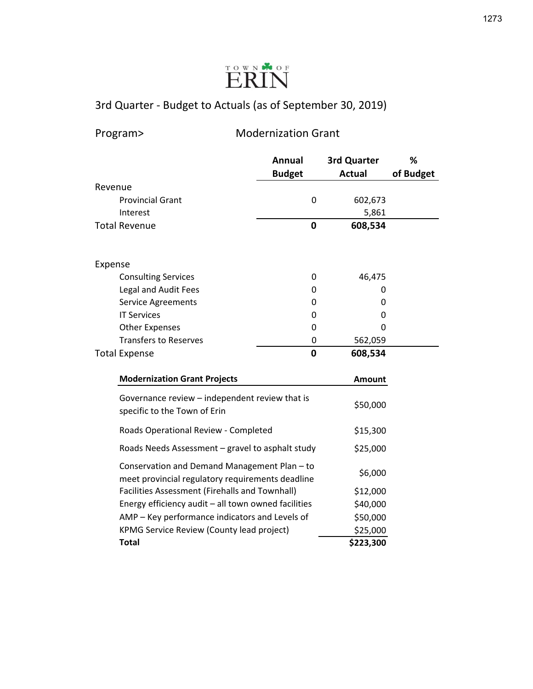

Program> Modernization Grant

|         |                                                                                                  | <b>Annual</b> | 3rd Quarter   | %         |
|---------|--------------------------------------------------------------------------------------------------|---------------|---------------|-----------|
|         |                                                                                                  | <b>Budget</b> | <b>Actual</b> | of Budget |
| Revenue |                                                                                                  |               |               |           |
|         | <b>Provincial Grant</b>                                                                          | 0             | 602,673       |           |
|         | Interest                                                                                         |               | 5,861         |           |
|         | <b>Total Revenue</b>                                                                             | $\mathbf 0$   | 608,534       |           |
| Expense |                                                                                                  |               |               |           |
|         | <b>Consulting Services</b>                                                                       | 0             | 46,475        |           |
|         | Legal and Audit Fees                                                                             | 0             | 0             |           |
|         | Service Agreements                                                                               | 0             | 0             |           |
|         | <b>IT Services</b>                                                                               | 0             | 0             |           |
|         | <b>Other Expenses</b>                                                                            | 0             | 0             |           |
|         | <b>Transfers to Reserves</b>                                                                     | 0             | 562,059       |           |
|         | Total Expense                                                                                    | $\mathbf 0$   | 608,534       |           |
|         | <b>Modernization Grant Projects</b>                                                              |               | <b>Amount</b> |           |
|         | Governance review - independent review that is<br>specific to the Town of Erin                   |               | \$50,000      |           |
|         | Roads Operational Review - Completed<br>Roads Needs Assessment - gravel to asphalt study         |               | \$15,300      |           |
|         |                                                                                                  |               | \$25,000      |           |
|         | Conservation and Demand Management Plan - to<br>meet provincial regulatory requirements deadline |               |               |           |
|         | Facilities Assessment (Firehalls and Townhall)                                                   |               | \$12,000      |           |
|         | Energy efficiency audit - all town owned facilities                                              |               | \$40,000      |           |
|         | AMP - Key performance indicators and Levels of                                                   |               | \$50,000      |           |
|         | <b>KPMG Service Review (County lead project)</b>                                                 |               | \$25,000      |           |
|         | <b>Total</b>                                                                                     |               | \$223,300     |           |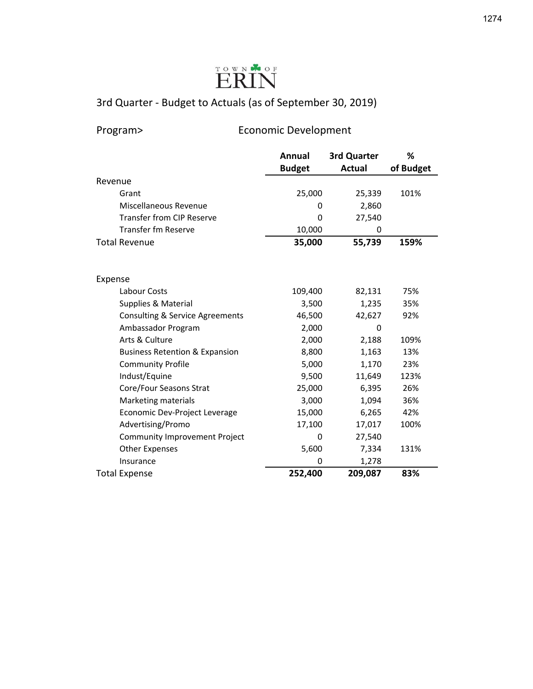| Program> |
|----------|
|----------|

pram> Foromic Development

|                                            | Annual        | 3rd Quarter   | %         |
|--------------------------------------------|---------------|---------------|-----------|
|                                            | <b>Budget</b> | <b>Actual</b> | of Budget |
| Revenue                                    |               |               |           |
| Grant                                      | 25,000        | 25,339        | 101%      |
| Miscellaneous Revenue                      | 0             | 2,860         |           |
| <b>Transfer from CIP Reserve</b>           | 0             | 27,540        |           |
| Transfer fm Reserve                        | 10,000        | 0             |           |
| <b>Total Revenue</b>                       | 35,000        | 55,739        | 159%      |
|                                            |               |               |           |
|                                            |               |               |           |
| Expense                                    |               |               |           |
| Labour Costs                               | 109,400       | 82,131        | 75%       |
| Supplies & Material                        | 3,500         | 1,235         | 35%       |
| <b>Consulting &amp; Service Agreements</b> | 46,500        | 42,627        | 92%       |
| Ambassador Program                         | 2,000         | 0             |           |
| Arts & Culture                             | 2,000         | 2,188         | 109%      |
| <b>Business Retention &amp; Expansion</b>  | 8,800         | 1,163         | 13%       |
| <b>Community Profile</b>                   | 5,000         | 1,170         | 23%       |
| Indust/Equine                              | 9,500         | 11,649        | 123%      |
| Core/Four Seasons Strat                    | 25,000        | 6,395         | 26%       |
| Marketing materials                        | 3,000         | 1,094         | 36%       |
| Economic Dev-Project Leverage              | 15,000        | 6,265         | 42%       |
| Advertising/Promo                          | 17,100        | 17,017        | 100%      |
| Community Improvement Project              | 0             | 27,540        |           |
| <b>Other Expenses</b>                      | 5,600         | 7,334         | 131%      |
| Insurance                                  | 0             | 1,278         |           |
| <b>Total Expense</b>                       | 252,400       | 209,087       | 83%       |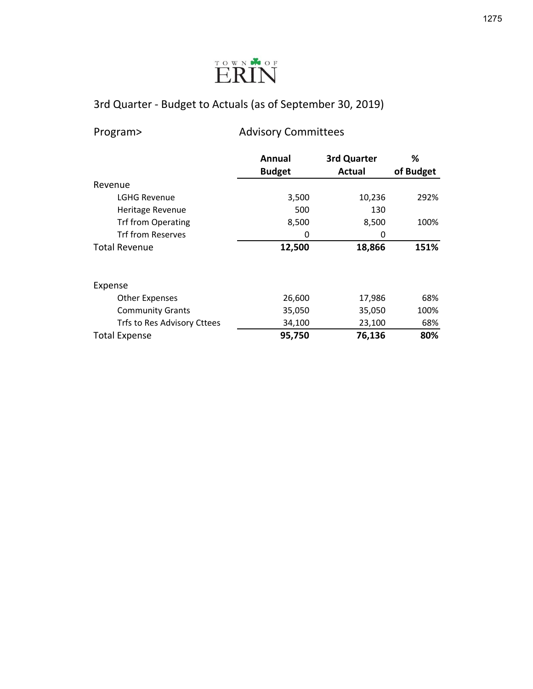

| Program> |  |  |
|----------|--|--|
|          |  |  |

pram> Advisory Committees

|                             | <b>Annual</b> | 3rd Quarter   | %         |
|-----------------------------|---------------|---------------|-----------|
|                             | <b>Budget</b> | <b>Actual</b> | of Budget |
| Revenue                     |               |               |           |
| LGHG Revenue                | 3,500         | 10,236        | 292%      |
| Heritage Revenue            | 500           | 130           |           |
| <b>Trf from Operating</b>   | 8,500         | 8,500         | 100%      |
| <b>Trf from Reserves</b>    | 0             | 0             |           |
| <b>Total Revenue</b>        | 12,500        | 18,866        | 151%      |
| Expense                     |               |               |           |
| <b>Other Expenses</b>       | 26,600        | 17,986        | 68%       |
| <b>Community Grants</b>     | 35,050        | 35,050        | 100%      |
| Trfs to Res Advisory Cttees | 34,100        | 23,100        | 68%       |
| <b>Total Expense</b>        | 95,750        | 76,136        | 80%       |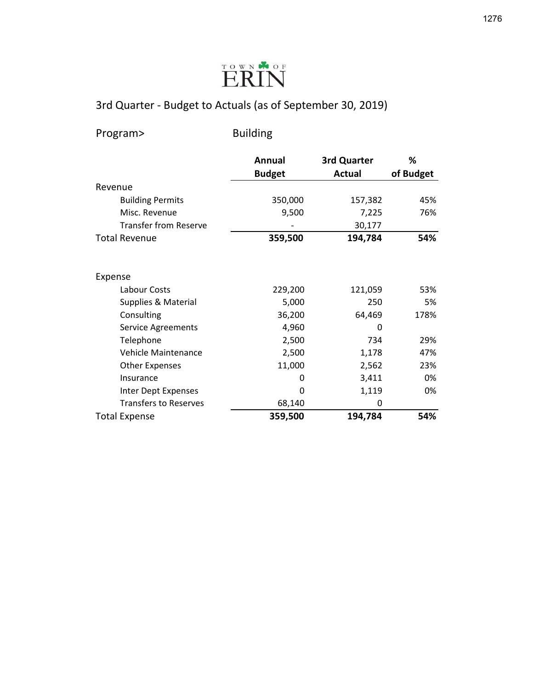

Program> Building

|                              | Annual        | 3rd Quarter   | %         |
|------------------------------|---------------|---------------|-----------|
|                              | <b>Budget</b> | <b>Actual</b> | of Budget |
| Revenue                      |               |               |           |
| <b>Building Permits</b>      | 350,000       | 157,382       | 45%       |
| Misc. Revenue                | 9,500         | 7,225         | 76%       |
| <b>Transfer from Reserve</b> |               | 30,177        |           |
| <b>Total Revenue</b>         | 359,500       | 194,784       | 54%       |
| Expense                      |               |               |           |
| Labour Costs                 | 229,200       | 121,059       | 53%       |
| Supplies & Material          | 5,000         | 250           | 5%        |
| Consulting                   | 36,200        | 64,469        | 178%      |
| Service Agreements           | 4,960         | 0             |           |
| Telephone                    | 2,500         | 734           | 29%       |
| Vehicle Maintenance          | 2,500         | 1,178         | 47%       |
| <b>Other Expenses</b>        | 11,000        | 2,562         | 23%       |
| Insurance                    | 0             | 3,411         | 0%        |
| Inter Dept Expenses          | 0             | 1,119         | 0%        |
| <b>Transfers to Reserves</b> | 68,140        | 0             |           |
| <b>Total Expense</b>         | 359,500       | 194,784       | 54%       |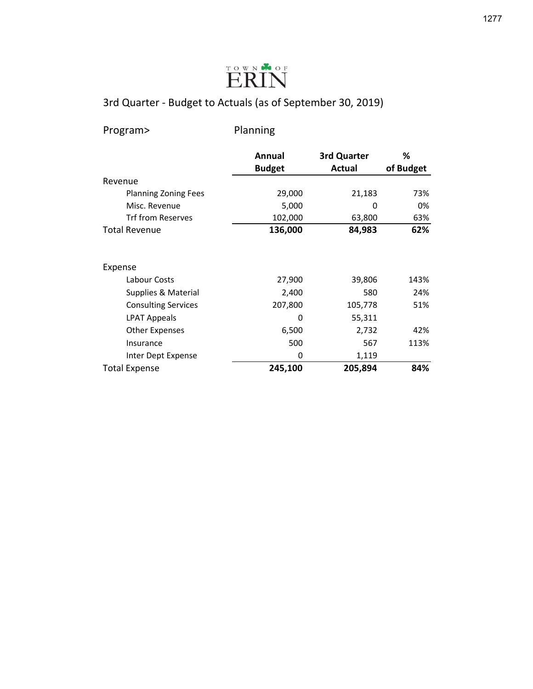

Program> Planning

|                             | Annual<br><b>Budget</b> | 3rd Quarter<br>Actual | ℅<br>of Budget |
|-----------------------------|-------------------------|-----------------------|----------------|
| Revenue                     |                         |                       |                |
| <b>Planning Zoning Fees</b> | 29,000                  | 21,183                | 73%            |
| Misc. Revenue               | 5,000                   | 0                     | 0%             |
| <b>Trf from Reserves</b>    | 102,000                 | 63,800                | 63%            |
| <b>Total Revenue</b>        | 136,000                 | 84,983                | 62%            |
| Expense                     |                         |                       |                |
| Labour Costs                | 27,900                  | 39,806                | 143%           |
| Supplies & Material         | 2,400                   | 580                   | 24%            |
| <b>Consulting Services</b>  | 207,800                 | 105,778               | 51%            |
| <b>LPAT Appeals</b>         | 0                       | 55,311                |                |
| Other Expenses              | 6,500                   | 2,732                 | 42%            |
| Insurance                   | 500                     | 567                   | 113%           |
| Inter Dept Expense          | 0                       | 1,119                 |                |
| <b>Total Expense</b>        | 245,100                 | 205,894               | 84%            |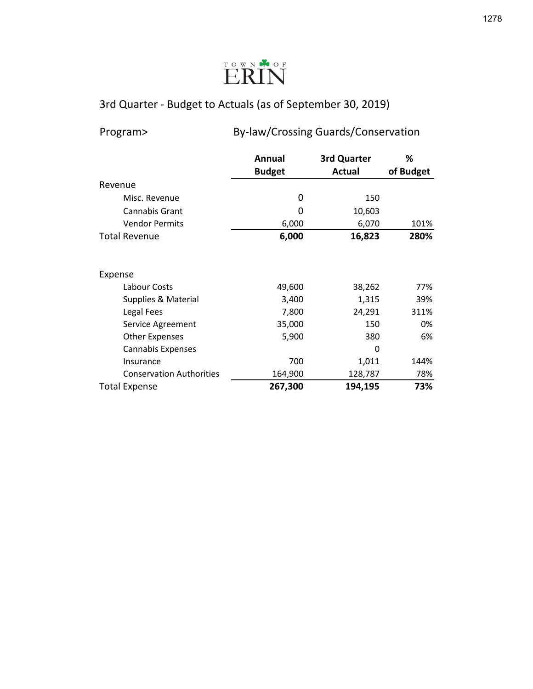

## Program> By-law/Crossing Guards/Conservation

|                                 | Annual<br><b>Budget</b> | 3rd Quarter<br><b>Actual</b> | %<br>of Budget |
|---------------------------------|-------------------------|------------------------------|----------------|
| Revenue                         |                         |                              |                |
| Misc. Revenue                   | 0                       | 150                          |                |
| Cannabis Grant                  | 0                       | 10,603                       |                |
| <b>Vendor Permits</b>           | 6,000                   | 6,070                        | 101%           |
| <b>Total Revenue</b>            | 6,000                   | 16,823                       | 280%           |
|                                 |                         |                              |                |
| Expense                         |                         |                              |                |
| Labour Costs                    | 49,600                  | 38,262                       | 77%            |
| Supplies & Material             | 3,400                   | 1,315                        | 39%            |
| Legal Fees                      | 7,800                   | 24,291                       | 311%           |
| Service Agreement               | 35,000                  | 150                          | 0%             |
| <b>Other Expenses</b>           | 5,900                   | 380                          | 6%             |
| Cannabis Expenses               |                         | O                            |                |
| Insurance                       | 700                     | 1,011                        | 144%           |
| <b>Conservation Authorities</b> | 164,900                 | 128,787                      | 78%            |
| <b>Total Expense</b>            | 267,300                 | 194,195                      | 73%            |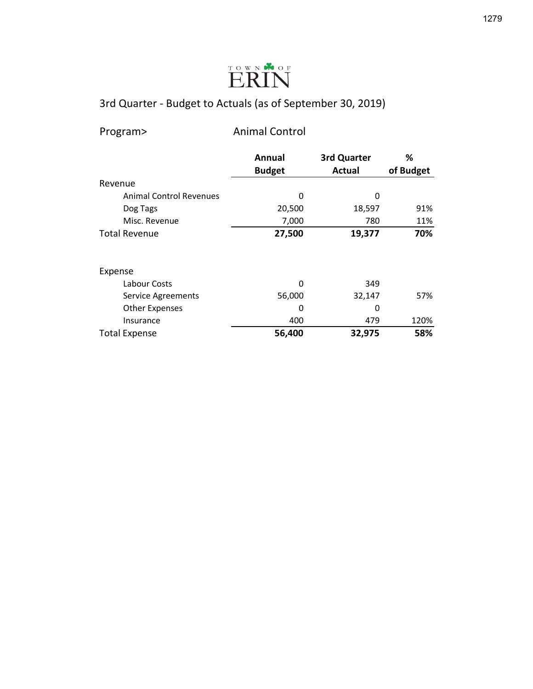

| Program> |  |
|----------|--|
|----------|--|

Animal Control

|                                | <b>Annual</b> | 3rd Quarter   | %         |
|--------------------------------|---------------|---------------|-----------|
|                                | <b>Budget</b> | <b>Actual</b> | of Budget |
| Revenue                        |               |               |           |
| <b>Animal Control Revenues</b> | 0             | 0             |           |
| Dog Tags                       | 20,500        | 18,597        | 91%       |
| Misc. Revenue                  | 7,000         | 780           | 11%       |
| <b>Total Revenue</b>           | 27,500        | 19,377        | 70%       |
|                                |               |               |           |
| Expense                        |               |               |           |
| Labour Costs                   | 0             | 349           |           |
| Service Agreements             | 56,000        | 32,147        | 57%       |
| <b>Other Expenses</b>          | 0             | 0             |           |
| Insurance                      | 400           | 479           | 120%      |
| <b>Total Expense</b>           | 56,400        | 32,975        | 58%       |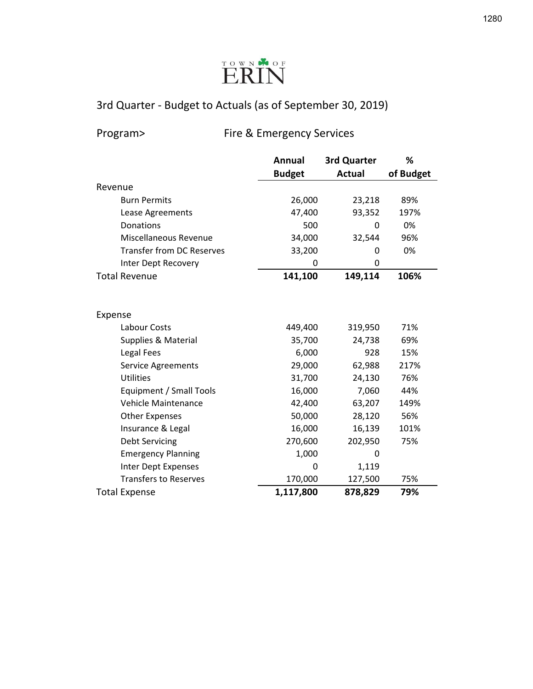

Program> Fire & Emergency Services

|                                  | <b>Annual</b> | 3rd Quarter   | %         |
|----------------------------------|---------------|---------------|-----------|
|                                  | <b>Budget</b> | <b>Actual</b> | of Budget |
| Revenue                          |               |               |           |
| <b>Burn Permits</b>              | 26,000        | 23,218        | 89%       |
| Lease Agreements                 | 47,400        | 93,352        | 197%      |
| Donations                        | 500           | 0             | 0%        |
| Miscellaneous Revenue            | 34,000        | 32,544        | 96%       |
| <b>Transfer from DC Reserves</b> | 33,200        | 0             | 0%        |
| Inter Dept Recovery              | 0             | 0             |           |
| <b>Total Revenue</b>             | 141,100       | 149,114       | 106%      |
|                                  |               |               |           |
|                                  |               |               |           |
| Expense                          |               |               |           |
| Labour Costs                     | 449,400       | 319,950       | 71%       |
| Supplies & Material              | 35,700        | 24,738        | 69%       |
| Legal Fees                       | 6,000         | 928           | 15%       |
| <b>Service Agreements</b>        | 29,000        | 62,988        | 217%      |
| <b>Utilities</b>                 | 31,700        | 24,130        | 76%       |
| Equipment / Small Tools          | 16,000        | 7,060         | 44%       |
| Vehicle Maintenance              | 42,400        | 63,207        | 149%      |
| <b>Other Expenses</b>            | 50,000        | 28,120        | 56%       |
| Insurance & Legal                | 16,000        | 16,139        | 101%      |
| <b>Debt Servicing</b>            | 270,600       | 202,950       | 75%       |
| <b>Emergency Planning</b>        | 1,000         | 0             |           |
| <b>Inter Dept Expenses</b>       | 0             | 1,119         |           |
| <b>Transfers to Reserves</b>     | 170,000       | 127,500       | 75%       |
| <b>Total Expense</b>             | 1,117,800     | 878,829       | 79%       |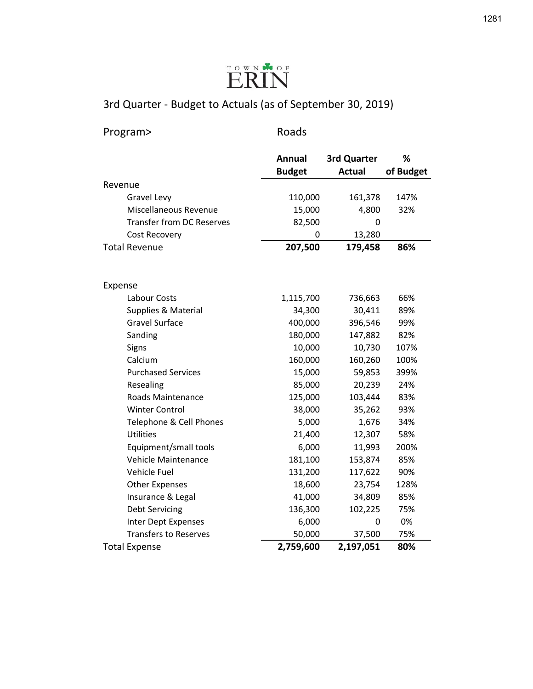

| Program>                         | Roads         |               |           |
|----------------------------------|---------------|---------------|-----------|
|                                  |               |               |           |
|                                  | Annual        | 3rd Quarter   | %         |
|                                  | <b>Budget</b> | <b>Actual</b> | of Budget |
| Revenue                          |               |               |           |
| Gravel Levy                      | 110,000       | 161,378       | 147%      |
| Miscellaneous Revenue            | 15,000        | 4,800         | 32%       |
| <b>Transfer from DC Reserves</b> | 82,500        | 0             |           |
| Cost Recovery                    | 0             | 13,280        |           |
| <b>Total Revenue</b>             | 207,500       | 179,458       | 86%       |
|                                  |               |               |           |
| Expense                          |               |               |           |
| Labour Costs                     | 1,115,700     | 736,663       | 66%       |
| Supplies & Material              | 34,300        | 30,411        | 89%       |
| <b>Gravel Surface</b>            | 400,000       | 396,546       | 99%       |
| Sanding                          | 180,000       | 147,882       | 82%       |
| Signs                            | 10,000        | 10,730        | 107%      |
| Calcium                          | 160,000       | 160,260       | 100%      |
| <b>Purchased Services</b>        | 15,000        | 59,853        | 399%      |
| Resealing                        | 85,000        | 20,239        | 24%       |
| <b>Roads Maintenance</b>         | 125,000       | 103,444       | 83%       |
| <b>Winter Control</b>            | 38,000        | 35,262        | 93%       |
| Telephone & Cell Phones          | 5,000         | 1,676         | 34%       |
| <b>Utilities</b>                 | 21,400        | 12,307        | 58%       |
| Equipment/small tools            | 6,000         | 11,993        | 200%      |
| Vehicle Maintenance              | 181,100       | 153,874       | 85%       |
| Vehicle Fuel                     | 131,200       | 117,622       | 90%       |
| <b>Other Expenses</b>            | 18,600        | 23,754        | 128%      |
| Insurance & Legal                | 41,000        | 34,809        | 85%       |
| <b>Debt Servicing</b>            | 136,300       | 102,225       | 75%       |
| Inter Dept Expenses              | 6,000         | 0             | 0%        |
| <b>Transfers to Reserves</b>     | 50,000        | 37,500        | 75%       |
| <b>Total Expense</b>             | 2,759,600     | 2,197,051     | 80%       |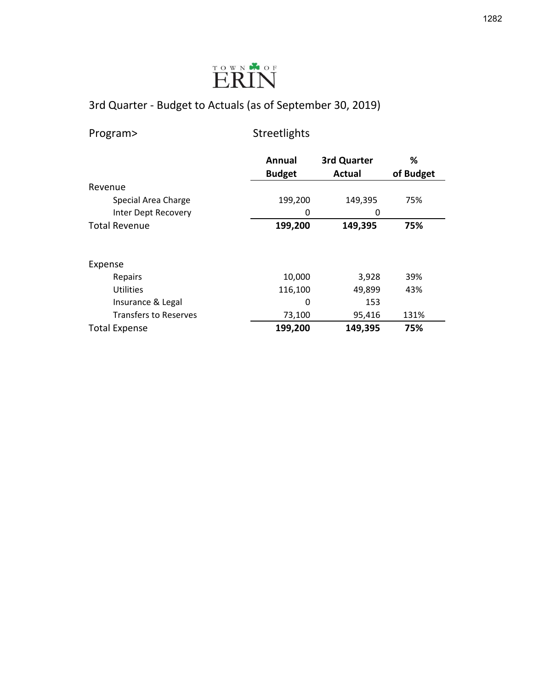

| Program> |  |
|----------|--|
|----------|--|

Streetlights

|                              | Annual        | 3rd Quarter   | %         |
|------------------------------|---------------|---------------|-----------|
|                              | <b>Budget</b> | <b>Actual</b> | of Budget |
| Revenue                      |               |               |           |
| Special Area Charge          | 199,200       | 149,395       | 75%       |
| Inter Dept Recovery          | 0             | 0             |           |
| <b>Total Revenue</b>         | 199,200       | 149,395       | 75%       |
|                              |               |               |           |
| Expense                      |               |               |           |
| Repairs                      | 10,000        | 3,928         | 39%       |
| <b>Utilities</b>             | 116,100       | 49,899        | 43%       |
| Insurance & Legal            | 0             | 153           |           |
| <b>Transfers to Reserves</b> | 73,100        | 95,416        | 131%      |
| <b>Total Expense</b>         | 199,200       | 149,395       | 75%       |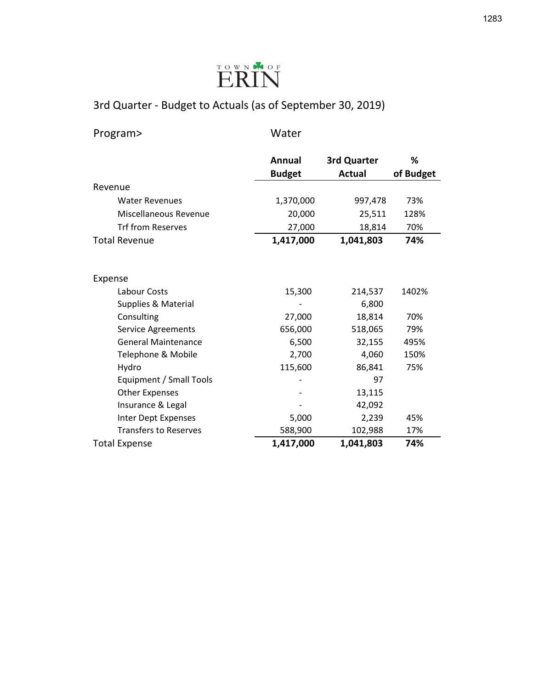

| Program> | Water |
|----------|-------|
|          |       |

|                              | Annual        | 3rd Quarter   | %         |
|------------------------------|---------------|---------------|-----------|
|                              | <b>Budget</b> | <b>Actual</b> | of Budget |
| Revenue                      |               |               |           |
| <b>Water Revenues</b>        | 1,370,000     | 997,478       | 73%       |
| Miscellaneous Revenue        | 20,000        | 25,511        | 128%      |
| <b>Trf from Reserves</b>     | 27,000        | 18,814        | 70%       |
| <b>Total Revenue</b>         | 1,417,000     | 1,041,803     | 74%       |
|                              |               |               |           |
| Expense                      |               |               |           |
| Labour Costs                 | 15,300        | 214,537       | 1402%     |
| Supplies & Material          |               | 6,800         |           |
| Consulting                   | 27,000        | 18,814        | 70%       |
| Service Agreements           | 656,000       | 518,065       | 79%       |
| <b>General Maintenance</b>   | 6,500         | 32,155        | 495%      |
| Telephone & Mobile           | 2,700         | 4,060         | 150%      |
| Hydro                        | 115,600       | 86,841        | 75%       |
| Equipment / Small Tools      |               | 97            |           |
| <b>Other Expenses</b>        |               | 13,115        |           |
| Insurance & Legal            |               | 42,092        |           |
| Inter Dept Expenses          | 5,000         | 2,239         | 45%       |
| <b>Transfers to Reserves</b> | 588,900       | 102,988       | 17%       |
| <b>Total Expense</b>         | 1,417,000     | 1,041,803     | 74%       |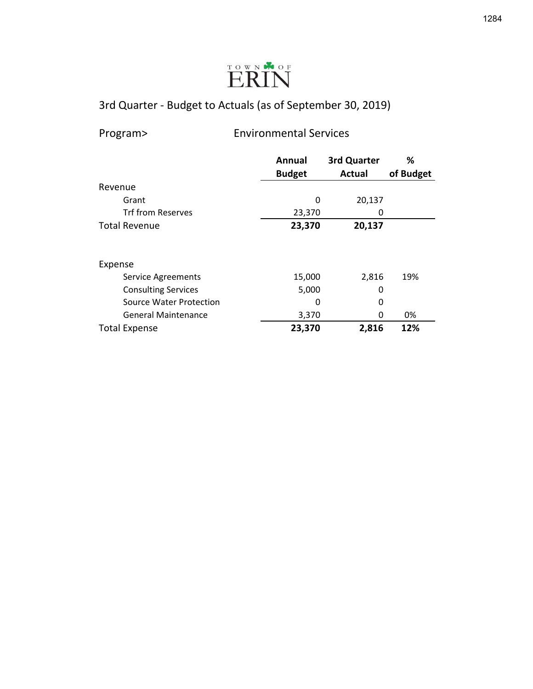

Program> Environmental Services

|                            | Annual        | 3rd Quarter   | ℅         |
|----------------------------|---------------|---------------|-----------|
|                            | <b>Budget</b> | <b>Actual</b> | of Budget |
| Revenue                    |               |               |           |
| Grant                      | 0             | 20,137        |           |
| <b>Trf from Reserves</b>   | 23,370        | 0             |           |
| <b>Total Revenue</b>       | 23,370        | 20,137        |           |
|                            |               |               |           |
| Expense                    |               |               |           |
| <b>Service Agreements</b>  | 15,000        | 2,816         | 19%       |
| <b>Consulting Services</b> | 5,000         | 0             |           |
| Source Water Protection    | 0             | 0             |           |
| <b>General Maintenance</b> | 3,370         | 0             | 0%        |
| <b>Total Expense</b>       | 23,370        | 2,816         | 12%       |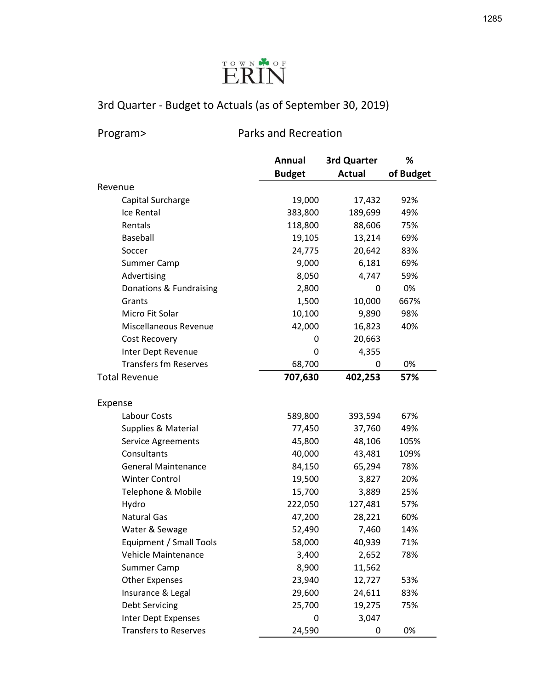

Program> Parks and Recreation

|                              | <b>Annual</b> | 3rd Quarter   | %         |
|------------------------------|---------------|---------------|-----------|
|                              | <b>Budget</b> | <b>Actual</b> | of Budget |
| Revenue                      |               |               |           |
| Capital Surcharge            | 19,000        | 17,432        | 92%       |
| Ice Rental                   | 383,800       | 189,699       | 49%       |
| Rentals                      | 118,800       | 88,606        | 75%       |
| <b>Baseball</b>              | 19,105        | 13,214        | 69%       |
| Soccer                       | 24,775        | 20,642        | 83%       |
| Summer Camp                  | 9,000         | 6,181         | 69%       |
| Advertising                  | 8,050         | 4,747         | 59%       |
| Donations & Fundraising      | 2,800         | 0             | 0%        |
| Grants                       | 1,500         | 10,000        | 667%      |
| Micro Fit Solar              | 10,100        | 9,890         | 98%       |
| Miscellaneous Revenue        | 42,000        | 16,823        | 40%       |
| <b>Cost Recovery</b>         | 0             | 20,663        |           |
| Inter Dept Revenue           | 0             | 4,355         |           |
| <b>Transfers fm Reserves</b> | 68,700        | 0             | 0%        |
| <b>Total Revenue</b>         | 707,630       | 402,253       | 57%       |
|                              |               |               |           |
| Expense                      |               |               |           |
| Labour Costs                 | 589,800       | 393,594       | 67%       |
| Supplies & Material          | 77,450        | 37,760        | 49%       |
| Service Agreements           | 45,800        | 48,106        | 105%      |
| Consultants                  | 40,000        | 43,481        | 109%      |
| <b>General Maintenance</b>   | 84,150        | 65,294        | 78%       |
| <b>Winter Control</b>        | 19,500        | 3,827         | 20%       |
| Telephone & Mobile           | 15,700        | 3,889         | 25%       |
| Hydro                        | 222,050       | 127,481       | 57%       |
| <b>Natural Gas</b>           | 47,200        | 28,221        | 60%       |
| Water & Sewage               | 52,490        | 7,460         | 14%       |
| Equipment / Small Tools      | 58,000        | 40,939        | 71%       |
| Vehicle Maintenance          | 3,400         | 2,652         | 78%       |
| Summer Camp                  | 8,900         | 11,562        |           |
| <b>Other Expenses</b>        | 23,940        | 12,727        | 53%       |
| Insurance & Legal            | 29,600        | 24,611        | 83%       |
| <b>Debt Servicing</b>        | 25,700        | 19,275        | 75%       |
| <b>Inter Dept Expenses</b>   | 0             | 3,047         |           |
| <b>Transfers to Reserves</b> | 24,590        | 0             | 0%        |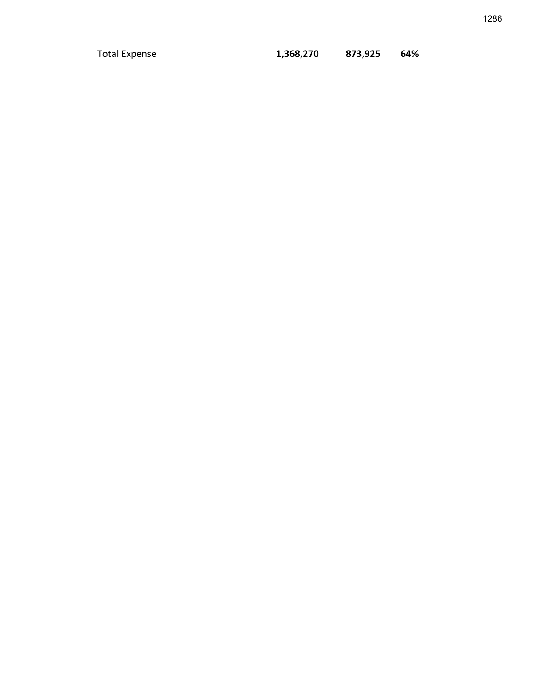Total Expense **1,368,270 873,925 64%**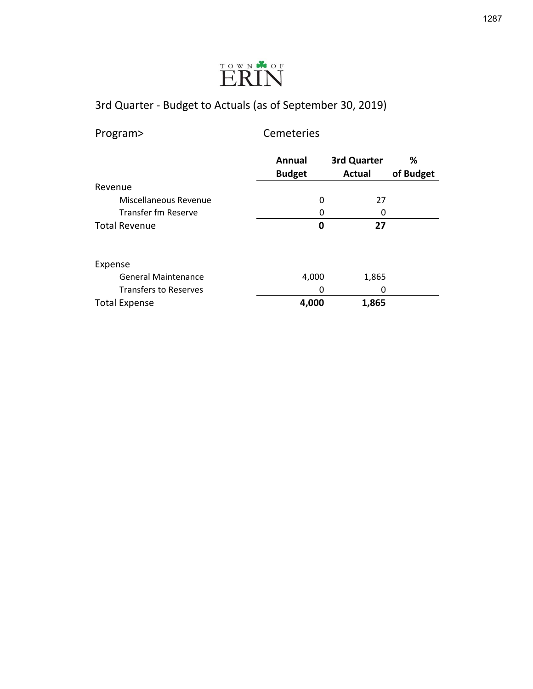

| Program>                     | Cemeteries              |                              |                |  |  |  |  |
|------------------------------|-------------------------|------------------------------|----------------|--|--|--|--|
|                              | Annual<br><b>Budget</b> | 3rd Quarter<br><b>Actual</b> | %<br>of Budget |  |  |  |  |
| Revenue                      |                         |                              |                |  |  |  |  |
| Miscellaneous Revenue        | 0                       | 27                           |                |  |  |  |  |
| Transfer fm Reserve          | 0                       | 0                            |                |  |  |  |  |
| <b>Total Revenue</b>         | 0                       | 27                           |                |  |  |  |  |
| Expense                      |                         |                              |                |  |  |  |  |
| <b>General Maintenance</b>   | 4,000                   | 1,865                        |                |  |  |  |  |
| <b>Transfers to Reserves</b> | 0                       | 0                            |                |  |  |  |  |
| <b>Total Expense</b>         | 4,000                   | 1,865                        |                |  |  |  |  |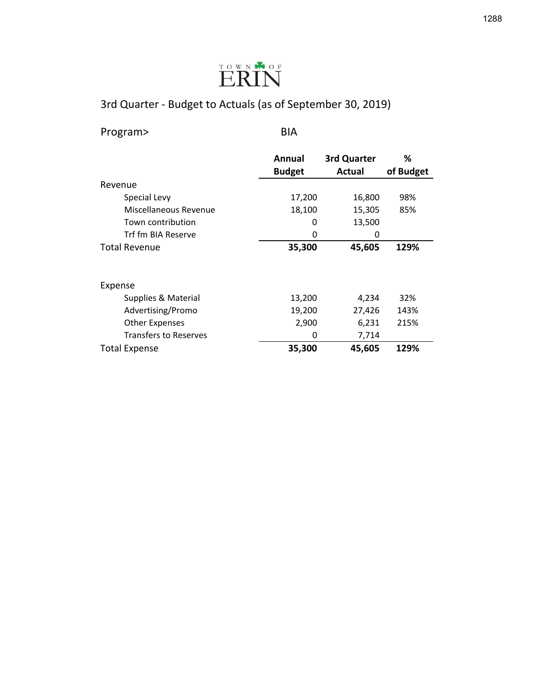

Program> BIA

|                              | Annual        | 3rd Quarter | ℅         |
|------------------------------|---------------|-------------|-----------|
|                              | <b>Budget</b> | Actual      | of Budget |
| Revenue                      |               |             |           |
| Special Levy                 | 17,200        | 16,800      | 98%       |
| Miscellaneous Revenue        | 18,100        | 15,305      | 85%       |
| Town contribution            | 0             | 13,500      |           |
| Trf fm BIA Reserve           | 0             | 0           |           |
| <b>Total Revenue</b>         | 35,300        | 45,605      | 129%      |
|                              |               |             |           |
| Expense                      |               |             |           |
| Supplies & Material          | 13,200        | 4,234       | 32%       |
| Advertising/Promo            | 19,200        | 27,426      | 143%      |
| <b>Other Expenses</b>        | 2,900         | 6,231       | 215%      |
| <b>Transfers to Reserves</b> | 0             | 7,714       |           |
| <b>Total Expense</b>         | 35,300        | 45,605      | 129%      |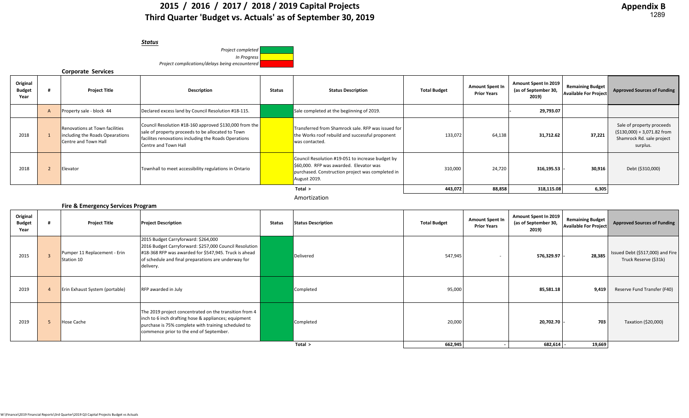## **2015 / 2016 / 2017 / 2018 / 2019 Capital Projects Third Quarter 'Budget vs. Actuals' as of September 30, 2019**

*Status*

*Project completed In Progress*

*Project complications/delays being encountered*

**Corporate Services**

| Original<br><b>Budget</b><br>Year |              | <b>Project Title</b>                                                                      | <b>Description</b>                                                                                                                                                                          | <b>Status</b> | <b>Status Description</b>                                                                                                                                       | <b>Total Budget</b> | <b>Amount Spent In</b><br><b>Prior Years</b> | <b>Amount Spent In 2019</b><br>(as of September 30,<br>2019) | <b>Remaining Budget</b><br><b>Available For Project</b> | <b>Approved Sources of Funding</b>                                                                  |
|-----------------------------------|--------------|-------------------------------------------------------------------------------------------|---------------------------------------------------------------------------------------------------------------------------------------------------------------------------------------------|---------------|-----------------------------------------------------------------------------------------------------------------------------------------------------------------|---------------------|----------------------------------------------|--------------------------------------------------------------|---------------------------------------------------------|-----------------------------------------------------------------------------------------------------|
|                                   | $\mathsf{A}$ | Property sale - block 44                                                                  | Declared excess land by Council Resolution #18-115.                                                                                                                                         |               | Sale completed at the begiinning of 2019.                                                                                                                       |                     |                                              | 29,793.07                                                    |                                                         |                                                                                                     |
| 2018                              |              | Renovations at Town facilities<br>including the Roads Opearations<br>Centre and Town Hall | Council Resolution #18-160 approved \$130,000 from the<br>sale of property proceeds to be allocated to Town<br>facilites renovations including the Roads Operations<br>Centre and Town Hall |               | Transferred from Shamrock sale. RFP was issued for<br>the Works roof rebuild and successful proponent<br>was contacted.                                         | 133,072             | 64,138                                       | 31,712.62                                                    | 37.221                                                  | Sale of property proceeds<br>$( $130,000) + 3,071.82$ from<br>Shamrock Rd. sale project<br>surplus. |
| 2018                              |              | Elevator                                                                                  | Townhall to meet accessibility regulations in Ontario                                                                                                                                       |               | Council Resolution #19-051 to increase budget by<br>\$60,000. RFP was awarded. Elevator was<br>purchased. Construction project was completed in<br>August 2019. | 310,000             | 24,720                                       | 316,195.53                                                   | 30,916                                                  | Debt (\$310,000)                                                                                    |
|                                   |              |                                                                                           |                                                                                                                                                                                             |               | Total >                                                                                                                                                         | 443,072             | 88,858                                       | 318,115.08                                                   | 6,305                                                   |                                                                                                     |

Amortization

#### **Fire & Emergency Services Program**

| Original<br><b>Budget</b><br>Year |                | <b>Project Title</b>                       | <b>Project Description</b>                                                                                                                                                                                                 | Status | <b>Status Description</b> | <b>Total Budget</b> | <b>Amount Spent In</b><br><b>Prior Years</b> | Amount Spent In 2019<br>(as of September 30,<br>2019) | Remaining Budget<br>Available For Project | Approved Sources of Funding                               |
|-----------------------------------|----------------|--------------------------------------------|----------------------------------------------------------------------------------------------------------------------------------------------------------------------------------------------------------------------------|--------|---------------------------|---------------------|----------------------------------------------|-------------------------------------------------------|-------------------------------------------|-----------------------------------------------------------|
| 2015                              | $\overline{3}$ | Pumper 11 Replacement - Erin<br>Station 10 | 2015 Budget Carryforward: \$264,000<br>2016 Budget Carryforward: \$257,000 Council Resolution<br>#18-368 RFP was awarded for \$547,945. Truck is ahead<br>of schedule and final preparations are underway for<br>delivery. |        | Delivered                 | 547,945             |                                              | 576,329.97                                            | 28,385                                    | Issued Debt (\$517,000) and Fire<br>Truck Reserve (\$31k) |
| 2019                              |                | Erin Exhaust System (portable)             | RFP awarded in July                                                                                                                                                                                                        |        | Completed                 | 95,000              |                                              | 85,581.18                                             | 9,419                                     | Reserve Fund Transfer (F40)                               |
| 2019                              | 5              | Hose Cache                                 | The 2019 project concentrated on the transition from 4<br>inch to 6 inch drafting hose & appliances; equipment<br>purchase is 75% complete with training scheduled to<br>commence prior to the end of September.           |        | Completed                 | 20,000              |                                              | 20,702.70                                             | 703                                       | Taxation (\$20,000)                                       |
|                                   |                |                                            |                                                                                                                                                                                                                            |        | Total >                   | 662,945             |                                              | $682,614$ .                                           | 19,669                                    |                                                           |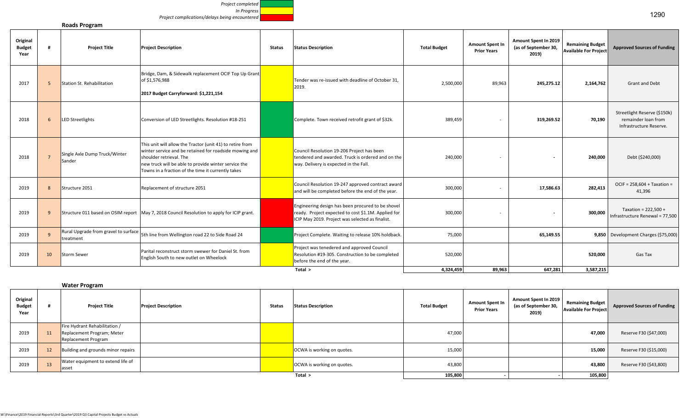| Project completed                              |  |
|------------------------------------------------|--|
| In Progress                                    |  |
| Project complications/delays being encountered |  |

**Roads Program**

| Original<br><b>Budget</b><br>Year | #              | <b>Project Title</b>                              | <b>Project Description</b>                                                                                                                                                                                                                                   | <b>Status</b> | <b>Status Description</b>                                                                                                                                    | <b>Total Budget</b> | <b>Amount Spent In</b><br><b>Prior Years</b> | Amount Spent In 2019<br>(as of September 30,<br>2019) | <b>Remaining Budget</b><br><b>Available For Project</b> | <b>Approved Sources of Funding</b>                                             |
|-----------------------------------|----------------|---------------------------------------------------|--------------------------------------------------------------------------------------------------------------------------------------------------------------------------------------------------------------------------------------------------------------|---------------|--------------------------------------------------------------------------------------------------------------------------------------------------------------|---------------------|----------------------------------------------|-------------------------------------------------------|---------------------------------------------------------|--------------------------------------------------------------------------------|
| 2017                              | -5             | Station St. Rehabilitation                        | Bridge, Dam, & Sidewalk replacement OCIF Top Up Grant<br>of \$1,576,988<br>2017 Budget Carryforward: \$1,221,154                                                                                                                                             |               | Tender was re-issued with deadline of October 31.<br>2019.                                                                                                   | 2,500,000           | 89,963                                       | 245,275.12                                            | 2,164,762                                               | <b>Grant and Debt</b>                                                          |
| 2018                              | 6              | <b>LED Streetlights</b>                           | Conversion of LED Streetlights. Resolution #18-251                                                                                                                                                                                                           |               | Complete. Town received retrofit grant of \$32k.                                                                                                             | 389,459             |                                              | 319,269.52                                            | 70,190                                                  | Streetlight Reserve (\$150k)<br>remainder loan from<br>Infrastructure Reserve. |
| 2018                              | $\overline{7}$ | Single Axle Dump Truck/Winter<br>Sander           | This unit will allow the Tractor (unit 41) to retire from<br>winter service and be retained for roadside mowing and<br>shoulder retrieval. The<br>new truck will be able to provide winter service the<br>Towns in a fraction of the time it currently takes |               | Council Resolution 19-206 Project has been<br>tendered and awarded. Truck is ordered and on the<br>way. Delivery is expected in the Fall.                    | 240,000             | $\sim$                                       | $\overline{\phantom{a}}$                              | 240,000                                                 | Debt (\$240,000)                                                               |
| 2019                              | 8              | Structure 2051                                    | Replacement of structure 2051                                                                                                                                                                                                                                |               | Council Resolution 19-247 approved contract award<br>and will be completed before the end of the year.                                                       | 300,000             |                                              | 17,586.63                                             | 282.413                                                 | $OCIF = 258.604 + Taxation =$<br>41,396                                        |
| 2019                              | 9              |                                                   | Structure 011 based on OSIM report   May 7, 2018 Council Resolution to apply for ICIP grant.                                                                                                                                                                 |               | Engineering design has been procured to be shovel<br>ready. Project expected to cost \$1.1M. Applied for<br>ICIP May 2019. Project was selected as finalist. | 300,000             | $\sim$                                       | $\overline{\phantom{0}}$                              | 300.000                                                 | Taxation = $222.500 +$<br>Infrastructure Renewal = 77,500                      |
| 2019                              | $\overline{9}$ | Rural Upgrade from gravel to surface<br>treatment | 5th line from Wellington road 22 to Side Road 24                                                                                                                                                                                                             |               | Project Complete. Waiting to release 10% holdback.                                                                                                           | 75,000              |                                              | 65,149.55                                             |                                                         | 9,850 Development Charges (\$75,000)                                           |
| 2019                              | 10             | <b>Storm Sewer</b>                                | Parital reconstruct storm swewer for Daniel St. from<br>English South to new outlet on Wheelock                                                                                                                                                              |               | Project was tenedered and approved Council<br>Resolution #19-305. Construction to be completed<br>before the end of the year.                                | 520,000             |                                              |                                                       | 520,000                                                 | Gas Tax                                                                        |
|                                   |                |                                                   |                                                                                                                                                                                                                                                              |               | Total >                                                                                                                                                      | 4.324.459           | 89,963                                       | 647,281                                               | 3,587,215                                               |                                                                                |

**Water Program Original Budget Year # Project Title Project Description Status Status Description Total Budget Amount Spent In Prior Years Amount Spent In 2019 (as of September 30, <sup>8</sup> Remaining Budget Propert Project Project Project Project Project <b>Approved Sources of Funding** <br>2019) 2019 11 Fire Hydrant Rehabilitation / Replacement Program; Meter Replacement Program 47,000 **Reserve F30 (\$47,000 Reserve F30 (\$47,000** 2019 **2019 Building and grounds minor repairs COWA is COLL COWA is working on quotes.** The manufacture of the manufacture of the manufacture of the manufacture of the manufacture of the manufacture of the manufacture of 2019 13 Water equipment to extend life of assetExamples to concentrate of the serve F30 (\$43,800) and the server F30 (\$43,800) and the server F30 (\$43,800) and the server F30 (\$43,800) and the server F30 (\$43,800) and the server F30 (\$43,800) and the server F30 (\$43,80  **Total > 105,800 ‐ ‐ 105,800** 

1290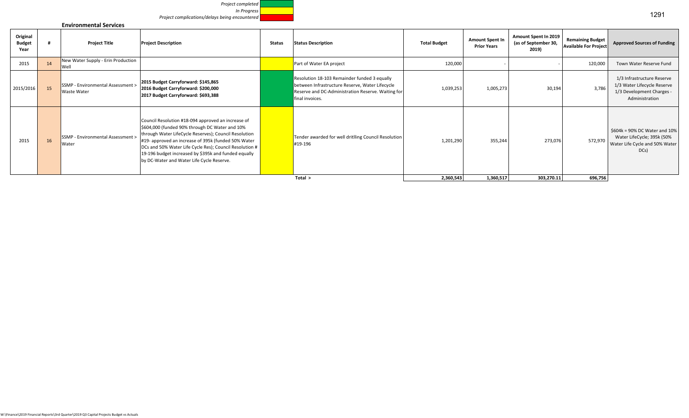*Project completed In Progress Project complications/delays being encountered*

#### **Environmental Services**

| Original<br><b>Budget</b><br>Year |    | <b>Project Title</b>                             | <b>Project Description</b>                                                                                                                                                                                                                                                                                                                                                           | <b>Status</b> | <b>Status Description</b>                                                                                                                                                | <b>Total Budget</b> | <b>Amount Spent In</b><br><b>Prior Years</b> | Amount Spent In 2019<br>(as of September 30,<br>2019) | <b>Remaining Budget</b><br><b>Available For Project</b> | <b>Approved Sources of Funding</b>                                                                       |
|-----------------------------------|----|--------------------------------------------------|--------------------------------------------------------------------------------------------------------------------------------------------------------------------------------------------------------------------------------------------------------------------------------------------------------------------------------------------------------------------------------------|---------------|--------------------------------------------------------------------------------------------------------------------------------------------------------------------------|---------------------|----------------------------------------------|-------------------------------------------------------|---------------------------------------------------------|----------------------------------------------------------------------------------------------------------|
| 2015                              | 14 | New Water Supply - Erin Production<br>Well       |                                                                                                                                                                                                                                                                                                                                                                                      |               | Part of Water EA project                                                                                                                                                 | 120,000             |                                              |                                                       | 120,000                                                 | Town Water Reserve Fund                                                                                  |
| 2015/2016                         | 15 | SSMP - Environmental Assessment ><br>Waste Water | 2015 Budget Carryforward: \$145,865<br>2016 Budget Carryforward: \$200,000<br>2017 Budget Carryforward: \$693,388                                                                                                                                                                                                                                                                    |               | Resolution 18-103 Remainder funded 3 equally<br>between Infrastructure Reserve, Water Lifecycle<br>Reserve and DC-Administration Reserve. Waiting for<br>final invoices. | 1,039,253           | 1,005,273                                    | 30,194                                                | 3,786                                                   | 1/3 Infrastructure Reserve<br>1/3 Water Lifecycle Reserve<br>1/3 Development Charges -<br>Administration |
| 2015                              | 16 | SSMP - Environmental Assessment ><br>Water       | Council Resolution #18-094 approved an increase of<br>\$604,000 (funded 90% through DC Water and 10%<br>through Water LifeCycle Reserves); Council Resolution<br>#19- approved an increase of 395k (funded 50% Water<br>DCs and 50% Water Life Cycle Res); Council Resolution #<br>19-196 budget increased by \$395k and funded equally<br>by DC-Water and Water Life Cycle Reserve. |               | Tender awarded for well dritlling Council Resolution<br>#19-196                                                                                                          | 1,201,290           | 355,244                                      | 273,076                                               | 572,970                                                 | \$604k = 90% DC Water and 10%<br>Water LifeCycle; 395k (50%<br>Water Life Cycle and 50% Water<br>DCs)    |
|                                   |    |                                                  |                                                                                                                                                                                                                                                                                                                                                                                      |               | Total >                                                                                                                                                                  | 2,360,543           | 1,360,517                                    | 303,270.11                                            | 696,756                                                 |                                                                                                          |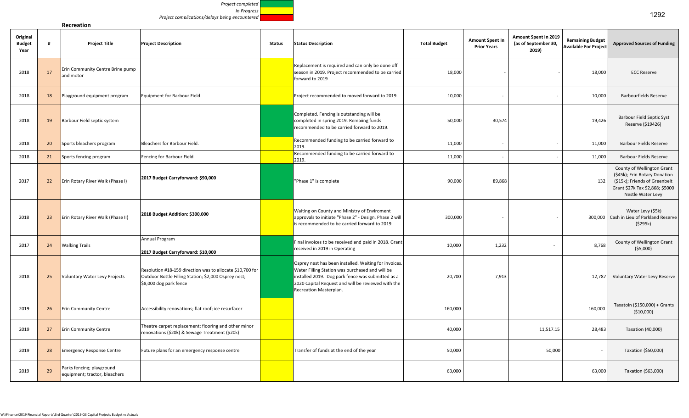*Project completed In Progress*

#### *Project complications/delays being encountered*

**Recreation**

| Original<br><b>Budget</b><br>Year | #  | <b>Project Title</b>                                       | <b>Project Description</b>                                                                                                                  | <b>Status</b> | <b>Status Description</b>                                                                                                                                                                                                                     | <b>Total Budget</b> | <b>Amount Spent In</b><br><b>Prior Years</b> | Amount Spent In 2019<br>(as of September 30,<br>2019) | <b>Remaining Budget</b><br><b>Available For Project</b> | <b>Approved Sources of Funding</b>                                                                                                                   |
|-----------------------------------|----|------------------------------------------------------------|---------------------------------------------------------------------------------------------------------------------------------------------|---------------|-----------------------------------------------------------------------------------------------------------------------------------------------------------------------------------------------------------------------------------------------|---------------------|----------------------------------------------|-------------------------------------------------------|---------------------------------------------------------|------------------------------------------------------------------------------------------------------------------------------------------------------|
| 2018                              | 17 | Erin Community Centre Brine pump<br>and motor              |                                                                                                                                             |               | Replacement is required and can only be done off<br>season in 2019. Project recommended to be carried<br>forward to 2019                                                                                                                      | 18,000              |                                              |                                                       | 18,000                                                  | <b>ECC Reserve</b>                                                                                                                                   |
| 2018                              | 18 | Playground equipment program                               | Equipment for Barbour Field.                                                                                                                |               | Project recommended to moved forward to 2019.                                                                                                                                                                                                 | 10,000              |                                              |                                                       | 10,000                                                  | <b>Barbourfields Reserve</b>                                                                                                                         |
| 2018                              | 19 | Barbour Field septic system                                |                                                                                                                                             |               | Completed. Fencing is outstanding will be<br>completed in spring 2019. Remaiing funds<br>recommended to be carried forward to 2019.                                                                                                           | 50,000              | 30,574                                       |                                                       | 19,426                                                  | <b>Barbour Field Septic Syst</b><br>Reserve (\$19426)                                                                                                |
| 2018                              | 20 | Sports bleachers program                                   | Bleachers for Barbour Field.                                                                                                                |               | Recommended funding to be carried forward to<br>2019.                                                                                                                                                                                         | 11,000              |                                              |                                                       | 11,000                                                  | <b>Barbour Fields Reserve</b>                                                                                                                        |
| 2018                              | 21 | Sports fencing program                                     | Fencing for Barbour Field.                                                                                                                  |               | Recommended funding to be carried forward to<br>2019.                                                                                                                                                                                         | 11,000              |                                              |                                                       | 11,000                                                  | <b>Barbour Fields Reserve</b>                                                                                                                        |
| 2017                              | 22 | Erin Rotary River Walk (Phase I)                           | 2017 Budget Carryforward: \$90,000                                                                                                          |               | "Phase 1" is complete                                                                                                                                                                                                                         | 90,000              | 89,868                                       |                                                       | 132                                                     | County of Wellington Grant<br>(\$45k); Erin Rotary Donation<br>(\$15k); Friends of Greenbelt<br>Grant \$27k Tax \$2,868; \$5000<br>Nestle Water Levy |
| 2018                              | 23 | Erin Rotary River Walk (Phase II)                          | 2018 Budget Addition: \$300,000                                                                                                             |               | Waiting on County and Ministry of Enviroment<br>approvals to initiate "Phase 2" - Design. Phase 2 will<br>is recommended to be carried forward to 2019.                                                                                       | 300,000             |                                              |                                                       |                                                         | Water Levy (\$5k)<br>300,000 Cash in Lieu of Parkland Reserve<br>(\$295k)                                                                            |
| 2017                              | 24 | <b>Walking Trails</b>                                      | Annual Program<br>2017 Budget Carryforward: \$10,000                                                                                        |               | Final invoices to be received and paid in 2018. Grant<br>received in 2019 in Operating                                                                                                                                                        | 10,000              | 1,232                                        |                                                       | 8,768                                                   | County of Wellington Grant<br>( \$5,000)                                                                                                             |
| 2018                              | 25 | Voluntary Water Levy Projects                              | Resolution #18-159 direction was to allocate \$10,700 for<br>Outdoor Bottle Filling Station; \$2,000 Osprey nest;<br>\$8,000 dog park fence |               | Osprey nest has been installed. Waiting for invoices.<br>Water Filling Station was purchased and will be<br>installed 2019. Dog park fence was submitted as a<br>2020 Capital Request and will be reviewed with the<br>Recreation Masterplan. | 20,700              | 7,913                                        |                                                       | 12,787                                                  | Voluntary Water Levy Reserve                                                                                                                         |
| 2019                              | 26 | <b>Erin Community Centre</b>                               | Accessibility renovations; flat roof; ice resurfacer                                                                                        |               |                                                                                                                                                                                                                                               | 160,000             |                                              |                                                       | 160,000                                                 | Taxatoin (\$150,000) + Grants<br>( \$10,000)                                                                                                         |
| 2019                              | 27 | <b>Erin Community Centre</b>                               | Theatre carpet replacement; flooring and other minor<br>renovations (\$20k) & Sewage Treatment (\$20k)                                      |               |                                                                                                                                                                                                                                               | 40,000              |                                              | 11,517.15                                             | 28,483                                                  | Taxation (40,000)                                                                                                                                    |
| 2019                              | 28 | <b>Emergency Response Centre</b>                           | Future plans for an emergency response centre                                                                                               |               | Transfer of funds at the end of the year                                                                                                                                                                                                      | 50,000              |                                              | 50,000                                                | $\sim$                                                  | Taxation (\$50,000)                                                                                                                                  |
| 2019                              | 29 | Parks fencing; playground<br>equipment; tractor, bleachers |                                                                                                                                             |               |                                                                                                                                                                                                                                               | 63,000              |                                              |                                                       | 63,000                                                  | Taxation (\$63,000)                                                                                                                                  |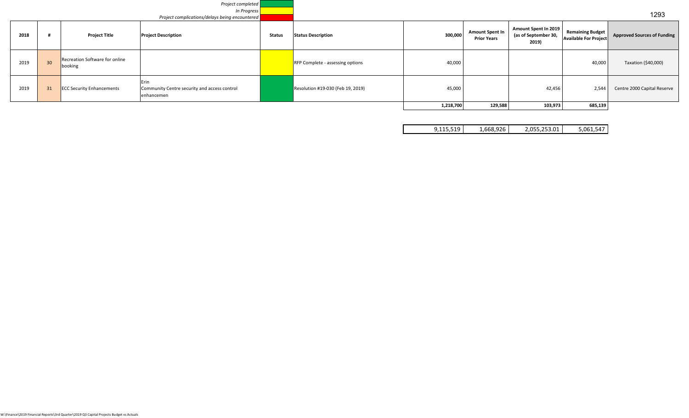|      |    |                                           | Project completed                                                    |               |                                   |           |                                              |                                                       |                                                  |                                    |
|------|----|-------------------------------------------|----------------------------------------------------------------------|---------------|-----------------------------------|-----------|----------------------------------------------|-------------------------------------------------------|--------------------------------------------------|------------------------------------|
|      |    |                                           | In Progress<br><b>Project complications/delays being encountered</b> |               |                                   |           |                                              |                                                       |                                                  | 1293                               |
| 2018 |    | <b>Project Title</b>                      | <b>Project Description</b>                                           | <b>Status</b> | <b>Status Description</b>         | 300,000   | <b>Amount Spent In</b><br><b>Prior Years</b> | Amount Spent In 2019<br>(as of September 30,<br>2019) | Remaining Budget<br><b>Available For Project</b> | <b>Approved Sources of Funding</b> |
| 2019 | 30 | Recreation Software for online<br>booking |                                                                      |               | RFP Complete - assessing options  | 40,000    |                                              |                                                       | 40,000                                           | Taxation (\$40,000)                |
| 2019 | 31 | <b>ECC Security Enhancements</b>          | Community Centre security and access control<br>enhancemen           |               | Resolution #19-030 (Feb 19, 2019) | 45,000    |                                              | 42,456                                                | 2,544                                            | Centre 2000 Capital Reserve        |
|      |    |                                           |                                                                      |               |                                   | 1,218,700 | 129,588                                      | 103,973                                               | 685,139                                          |                                    |

1,668,926 9,115,519 2,055,253.01 5,061,547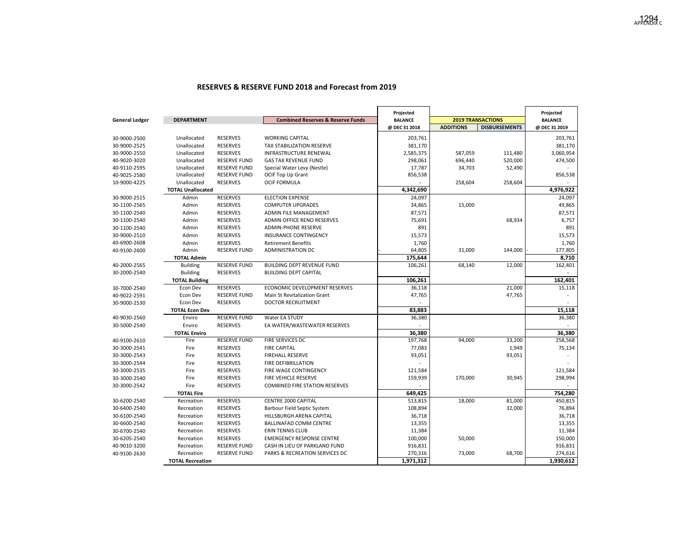#### **RESERVES & RESERVE FUND 2018 and Forecast from 2019**

|                       |                                       |                                        |                                              | Projected      |                  | Projected                |                  |
|-----------------------|---------------------------------------|----------------------------------------|----------------------------------------------|----------------|------------------|--------------------------|------------------|
| <b>General Ledger</b> | <b>DEPARTMENT</b>                     |                                        | <b>Combined Reserves &amp; Reserve Funds</b> | <b>BALANCE</b> |                  | <b>2019 TRANSACTIONS</b> | <b>BALANCE</b>   |
|                       |                                       |                                        |                                              | @ DEC 31 2018  | <b>ADDITIONS</b> | <b>DISBURSEMENTS</b>     | @ DEC 31 2019    |
| 30-9000-2500          | Unallocated                           | <b>RESERVES</b>                        | <b>WORKING CAPITAL</b>                       | 203,761        |                  |                          | 203,761          |
| 30-9000-2525          | Unallocated                           | <b>RESERVES</b>                        | <b>TAX STABILIZATION RESERVE</b>             | 381,170        |                  |                          | 381,170          |
| 30-9000-2550          | Unallocated                           | RESERVES                               | <b>INFRASTRUCTURE RENEWAL</b>                | 2,585,375      | 587,059          | 111,480                  | 3,060,954        |
| 40-9020-3020          | Unallocated                           | <b>RESERVE FUND</b>                    | <b>GAS TAX REVENUE FUND</b>                  | 298,061        | 696,440          | 520,000                  | 474,500          |
| 40-9110-2595          | Unallocated                           | <b>RESERVE FUND</b>                    | Special Water Levy (Nestle)                  | 17,787         | 34,703           | 52,490                   |                  |
| 40-9025-2580          | Unallocated                           | <b>RESERVE FUND</b>                    | <b>OCIF Top Up Grant</b>                     | 856,538        |                  |                          | 856,538          |
| 10-9000-4225          | Unallocated                           | <b>RESERVES</b>                        | <b>OCIF FORMULA</b>                          |                | 258,604          | 258,604                  |                  |
|                       | <b>TOTAL Unallocated</b>              |                                        |                                              | 4,342,690      |                  |                          | 4,976,922        |
| 30-9000-2515          | Admin                                 | <b>RESERVES</b>                        | <b>ELECTION EXPENSE</b>                      | 24,097         |                  |                          | 24,097           |
| 30-1100-2565          | Admin                                 | <b>RESERVES</b>                        | <b>COMPUTER UPGRADES</b>                     | 34,865         | 15,000           |                          | 49,865           |
| 30-1100-2540          | Admin                                 | <b>RESERVES</b>                        | <b>ADMIN FILE MANAGEMENT</b>                 | 87,571         |                  |                          | 87,571           |
| 30-1100-2540          | Admin                                 | <b>RESERVES</b>                        | <b>ADMIN OFFICE RENO RESERVES</b>            | 75,691         |                  | 68,934                   | 6,757            |
| 30-1100-2540          | Admin                                 | <b>RESERVES</b>                        | <b>ADMIN-PHONE RESERVE</b>                   | 891            |                  |                          | 891              |
| 30-9000-2510          | Admin                                 | <b>RESERVES</b>                        | <b>INSURANCE CONTINGENCY</b>                 | 15,573         |                  |                          | 15,573           |
| 40-6900-2608          |                                       |                                        |                                              |                |                  |                          |                  |
|                       | Admin                                 | <b>RESERVES</b>                        | <b>Retirement Benefits</b>                   | 1,760          |                  |                          | 1,760            |
| 40-9100-2600          | Admin                                 | <b>RESERVE FUND</b>                    | <b>ADMINISTRATION DC</b>                     | 64,805         | 31,000           | 144,000                  | 177,805          |
|                       | <b>TOTAL Admin</b><br><b>Building</b> |                                        |                                              | 175,644        |                  | 12,000                   | 8,710<br>162,401 |
| 40-2000-2565          |                                       | <b>RESERVE FUND</b><br><b>RESERVES</b> | BUILDING DEPT REVENUE FUND                   | 106,261        | 68,140           |                          |                  |
| 30-2000-2540          | <b>Building</b>                       |                                        | <b>BUILDING DEPT CAPITAL</b>                 | 106,261        |                  |                          | 162,401          |
|                       | <b>TOTAL Building</b>                 |                                        | ECONOMIC DEVELOPMENT RESERVES                |                |                  |                          |                  |
| 30-7000-2540          | Econ Dev                              | <b>RESERVES</b><br><b>RESERVE FUND</b> |                                              | 36,118         |                  | 21,000                   | 15,118           |
| 40-9022-2591          | Econ Dev                              |                                        | Main St Revitalization Grant                 | 47,765         |                  | 47,765                   |                  |
| 30-9000-2530          | Econ Dev                              | <b>RESERVES</b>                        | <b>DOCTOR RECRUITMENT</b>                    |                |                  |                          |                  |
|                       | <b>TOTAL Econ Dev</b>                 |                                        |                                              | 83,883         |                  |                          | 15,118           |
| 40-9030-2560          | Enviro                                | <b>RESERVE FUND</b>                    | Water EA STUDY                               | 36,380         |                  |                          | 36,380           |
| 30-5000-2540          | Enviro                                | <b>RESERVES</b>                        | EA WATER/WASTEWATER RESERVES                 |                |                  |                          |                  |
|                       | <b>TOTAL Enviro</b>                   |                                        |                                              | 36,380         |                  |                          | 36,380           |
| 40-9100-2610          | Fire                                  | <b>RESERVE FUND</b>                    | <b>FIRE SERVICES DC</b>                      | 197,768        | 94,000           | 33,200                   | 258,568          |
| 30-3000-2541          | Fire                                  | <b>RESERVES</b>                        | <b>FIRE CAPITAL</b>                          | 77,083         |                  | 1,949                    | 75,134           |
| 30-3000-2543          | Fire                                  | <b>RESERVES</b>                        | <b>FIREHALL RESERVE</b>                      | 93,051         |                  | 93,051                   |                  |
| 30-3000-2544          | Fire                                  | <b>RESERVES</b>                        | <b>FIRE DEFIBRILLATION</b>                   |                |                  |                          |                  |
| 30-3000-2535          | Fire                                  | <b>RESERVES</b>                        | FIRE WAGE CONTINGENCY                        | 121,584        |                  |                          | 121,584          |
| 30-3000-2540          | Fire                                  | <b>RESERVES</b>                        | FIRE VEHICLE RESERVE                         | 159,939        | 170,000          | 30,945                   | 298,994          |
| 30-3000-2542          | Fire                                  | <b>RESERVES</b>                        | <b>COMBINED FIRE STATION RESERVES</b>        |                |                  |                          |                  |
|                       | <b>TOTAL Fire</b>                     |                                        |                                              | 649,425        |                  |                          | 754,280          |
| 30-6200-2540          | Recreation                            | <b>RESERVES</b>                        | CENTRE 2000 CAPITAL                          | 513,815        | 18,000           | 81,000                   | 450,815          |
| 30-6400-2540          | Recreation                            | <b>RESERVES</b>                        | Barbour Field Septic System                  | 108,894        |                  | 32,000                   | 76,894           |
| 30-6100-2540          | Recreation                            | <b>RESERVES</b>                        | HILLSBURGH ARENA CAPITAL                     | 36,718         |                  |                          | 36,718           |
| 30-6600-2540          | Recreation                            | <b>RESERVES</b>                        | <b>BALLINAFAD COMM CENTRE</b>                | 13,355         |                  |                          | 13,355           |
| 30-6700-2540          | Recreation                            | <b>RESERVES</b>                        | <b>ERIN TENNIS CLUB</b>                      | 11,384         |                  |                          | 11,384           |
| 30-6205-2540          | Recreation                            | <b>RESERVES</b>                        | <b>EMERGENCY RESPONSE CENTRE</b>             | 100,000        | 50,000           |                          | 150,000          |
| 40-9010-3200          | Recreation                            | <b>RESERVE FUND</b>                    | CASH IN LIEU OF PARKLAND FUND                | 916,831        |                  |                          | 916,831          |
| 40-9100-2630          | Recreation                            | <b>RESERVE FUND</b>                    | PARKS & RECREATION SERVICES DC               | 270,316        | 73,000           | 68,700                   | 274,616          |
|                       | <b>TOTAL Recreation</b>               |                                        |                                              | 1,971,312      |                  |                          | 1,930,612        |